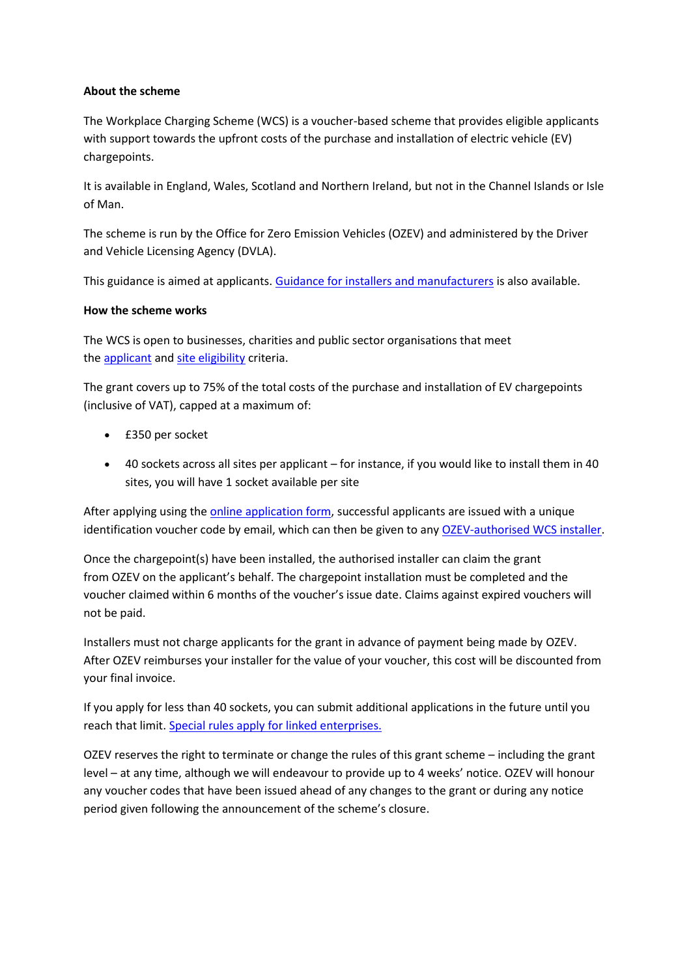## **About the scheme**

The Workplace Charging Scheme (WCS) is a voucher-based scheme that provides eligible applicants with support towards the upfront costs of the purchase and installation of electric vehicle (EV) chargepoints.

It is available in England, Wales, Scotland and Northern Ireland, but not in the Channel Islands or Isle of Man.

The scheme is run by the Office for Zero Emission Vehicles (OZEV) and administered by the Driver and Vehicle Licensing Agency (DVLA).

This guidance is aimed at applicants. [Guidance for installers and manufacturers](https://www.gov.uk/guidance/workplace-charging-scheme-guidance-for-installers) is also available.

## **How the scheme works**

The WCS is open to businesses, charities and public sector organisations that meet the [applicant](https://www.gov.uk/guidance/workplace-charging-scheme-guidance-for-applicants#applicant-eligibility) and [site eligibility](https://www.gov.uk/guidance/workplace-charging-scheme-guidance-for-applicants#site-eligibility) criteria.

The grant covers up to 75% of the total costs of the purchase and installation of EV chargepoints (inclusive of VAT), capped at a maximum of:

- £350 per socket
- 40 sockets across all sites per applicant for instance, if you would like to install them in 40 sites, you will have 1 socket available per site

After applying using the **online application form**, successful applicants are issued with a unique identification voucher code by email, which can then be given to any [OZEV-authorised](https://www.gov.uk/government/publications/workplace-charging-scheme-authorised-installers) WCS installer.

Once the chargepoint(s) have been installed, the authorised installer can claim the grant from OZEV on the applicant's behalf. The chargepoint installation must be completed and the voucher claimed within 6 months of the voucher's issue date. Claims against expired vouchers will not be paid.

Installers must not charge applicants for the grant in advance of payment being made by OZEV. After OZEV reimburses your installer for the value of your voucher, this cost will be discounted from your final invoice.

If you apply for less than 40 sockets, you can submit additional applications in the future until you reach that limit. [Special rules apply for linked enterprises.](https://www.gov.uk/guidance/workplace-charging-scheme-guidance-for-applicants#linked-enterprise)

OZEV reserves the right to terminate or change the rules of this grant scheme – including the grant level – at any time, although we will endeavour to provide up to 4 weeks' notice. OZEV will honour any voucher codes that have been issued ahead of any changes to the grant or during any notice period given following the announcement of the scheme's closure.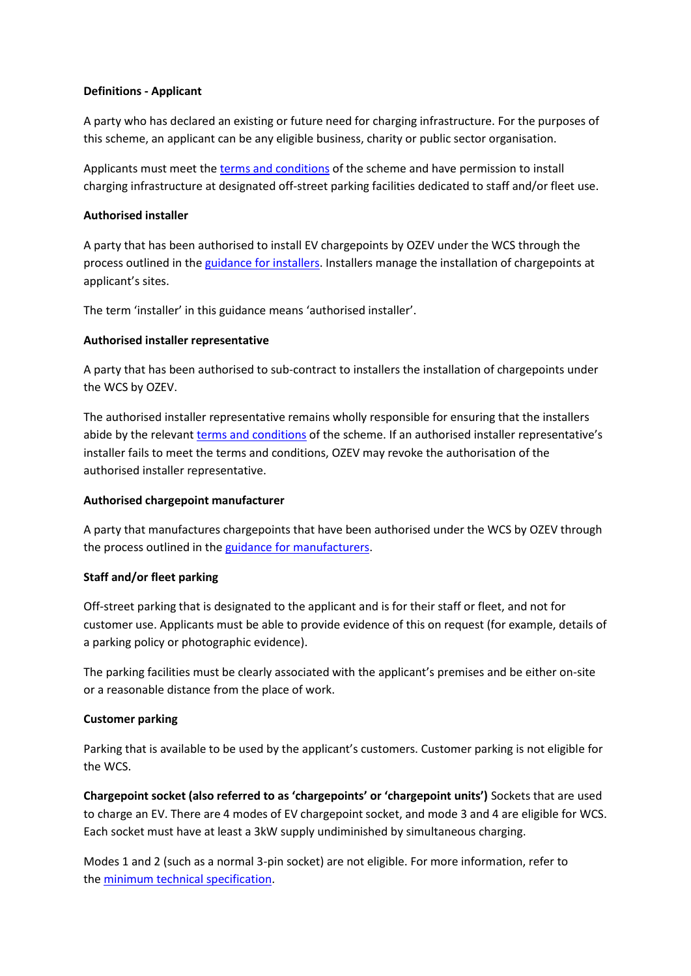### **Definitions - Applicant**

A party who has declared an existing or future need for charging infrastructure. For the purposes of this scheme, an applicant can be any eligible business, charity or public sector organisation.

Applicants must meet the [terms and conditions](https://www.gov.uk/guidance/workplace-charging-scheme-guidance-for-applicants#t-and-cs) of the scheme and have permission to install charging infrastructure at designated off-street parking facilities dedicated to staff and/or fleet use.

## **Authorised installer**

A party that has been authorised to install EV chargepoints by OZEV under the WCS through the process outlined in the [guidance for installers.](https://www.gov.uk/guidance/workplace-charging-scheme-guidance-for-installers) Installers manage the installation of chargepoints at applicant's sites.

The term 'installer' in this guidance means 'authorised installer'.

## **Authorised installer representative**

A party that has been authorised to sub-contract to installers the installation of chargepoints under the WCS by OZEV.

The authorised installer representative remains wholly responsible for ensuring that the installers abide by the relevant [terms and conditions](https://www.gov.uk/guidance/workplace-charging-scheme-guidance-for-applicants#t-and-cs) of the scheme. If an authorised installer representative's installer fails to meet the terms and conditions, OZEV may revoke the authorisation of the authorised installer representative.

### **Authorised chargepoint manufacturer**

A party that manufactures chargepoints that have been authorised under the WCS by OZEV through the process outlined in the [guidance for manufacturers.](https://www.gov.uk/guidance/workplace-charging-scheme-guidance-for-installers)

### **Staff and/or fleet parking**

Off-street parking that is designated to the applicant and is for their staff or fleet, and not for customer use. Applicants must be able to provide evidence of this on request (for example, details of a parking policy or photographic evidence).

The parking facilities must be clearly associated with the applicant's premises and be either on-site or a reasonable distance from the place of work.

# **Customer parking**

Parking that is available to be used by the applicant's customers. Customer parking is not eligible for the WCS.

**Chargepoint socket (also referred to as 'chargepoints' or 'chargepoint units')** Sockets that are used to charge an EV. There are 4 modes of EV chargepoint socket, and mode 3 and 4 are eligible for WCS. Each socket must have at least a 3kW supply undiminished by simultaneous charging.

Modes 1 and 2 (such as a normal 3-pin socket) are not eligible. For more information, refer to the [minimum technical specification.](https://www.gov.uk/government/publications/electric-vehicle-homecharge-scheme-minimum-technical-specification)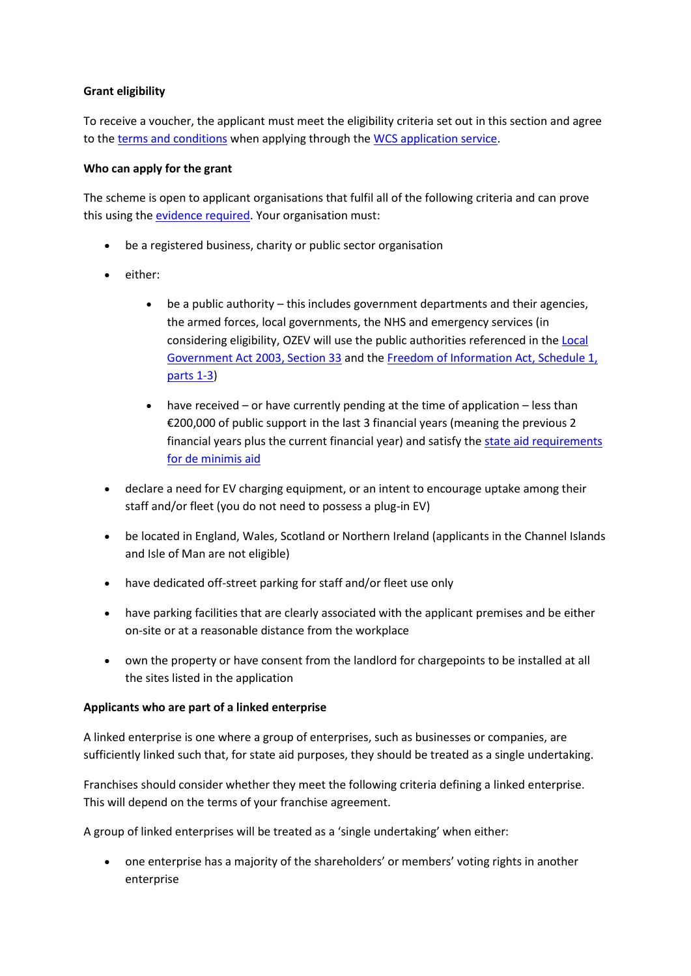# **Grant eligibility**

To receive a voucher, the applicant must meet the eligibility criteria set out in this section and agree to the [terms and conditions](https://www.gov.uk/guidance/workplace-charging-scheme-guidance-for-applicants#t-and-cs) when applying through the WCS [application service.](https://www.gov.uk/government/publications/workplace-charging-scheme-application-form)

### **Who can apply for the grant**

The scheme is open to applicant organisations that fulfil all of the following criteria and can prove this using the [evidence required.](https://www.gov.uk/guidance/workplace-charging-scheme-guidance-for-applicants#applicant-evidence) Your organisation must:

- be a registered business, charity or public sector organisation
- either:
	- be a public authority this includes government departments and their agencies, the armed forces, local governments, the NHS and emergency services (in considering eligibility, OZEV will use the public authorities referenced in the [Local](http://www.legislation.gov.uk/ukpga/2003/26/section/33)  [Government Act 2003, Section 33](http://www.legislation.gov.uk/ukpga/2003/26/section/33) and the [Freedom of Information Act, Schedule 1,](http://www.legislation.gov.uk/ukpga/2000/36/schedule/1)  [parts 1-3\)](http://www.legislation.gov.uk/ukpga/2000/36/schedule/1)
	- have received or have currently pending at the time of application less than €200,000 of public support in the last 3 financial years (meaning the previous 2 financial years plus the current financial year) and satisfy the [state aid requirements](https://www.gov.uk/guidance/workplace-charging-scheme-guidance-for-applicants#state-aid)  [for de minimis aid](https://www.gov.uk/guidance/workplace-charging-scheme-guidance-for-applicants#state-aid)
- declare a need for EV charging equipment, or an intent to encourage uptake among their staff and/or fleet (you do not need to possess a plug-in EV)
- be located in England, Wales, Scotland or Northern Ireland (applicants in the Channel Islands and Isle of Man are not eligible)
- have dedicated off-street parking for staff and/or fleet use only
- have parking facilities that are clearly associated with the applicant premises and be either on-site or at a reasonable distance from the workplace
- own the property or have consent from the landlord for chargepoints to be installed at all the sites listed in the application

# **Applicants who are part of a linked enterprise**

A linked enterprise is one where a group of enterprises, such as businesses or companies, are sufficiently linked such that, for state aid purposes, they should be treated as a single undertaking.

Franchises should consider whether they meet the following criteria defining a linked enterprise. This will depend on the terms of your franchise agreement.

A group of linked enterprises will be treated as a 'single undertaking' when either:

• one enterprise has a majority of the shareholders' or members' voting rights in another enterprise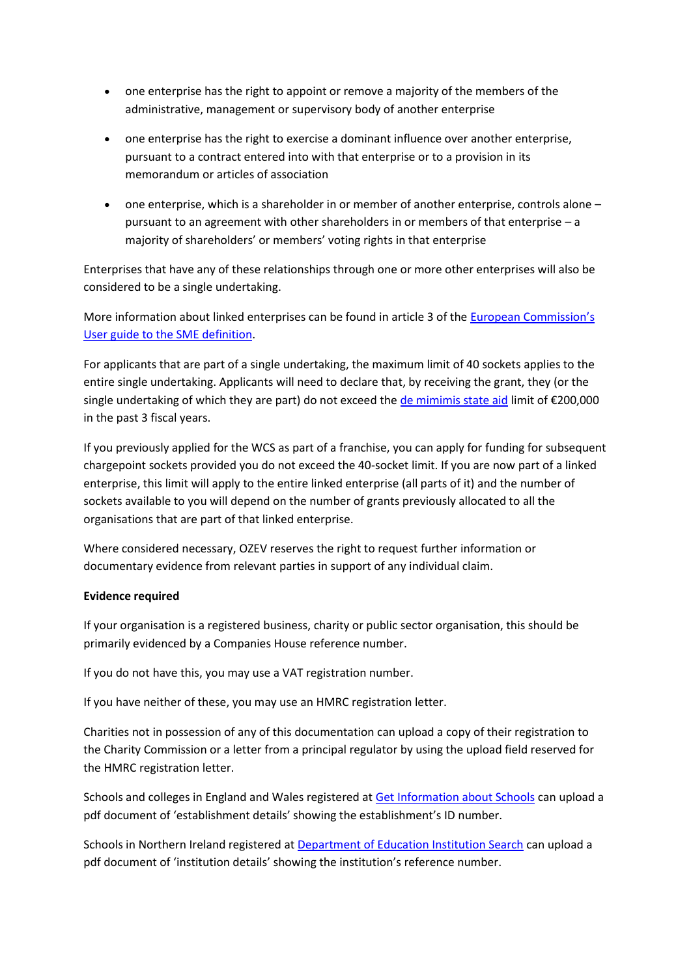- one enterprise has the right to appoint or remove a majority of the members of the administrative, management or supervisory body of another enterprise
- one enterprise has the right to exercise a dominant influence over another enterprise, pursuant to a contract entered into with that enterprise or to a provision in its memorandum or articles of association
- one enterprise, which is a shareholder in or member of another enterprise, controls alone pursuant to an agreement with other shareholders in or members of that enterprise – a majority of shareholders' or members' voting rights in that enterprise

Enterprises that have any of these relationships through one or more other enterprises will also be considered to be a single undertaking.

More information about linked enterprises can be found in article 3 of the [European Commission's](https://op.europa.eu/en/publication-detail/-/publication/756d9260-ee54-11ea-991b-01aa75ed71a1)  [User guide to the](https://op.europa.eu/en/publication-detail/-/publication/756d9260-ee54-11ea-991b-01aa75ed71a1) SME definition.

For applicants that are part of a single undertaking, the maximum limit of 40 sockets applies to the entire single undertaking. Applicants will need to declare that, by receiving the grant, they (or the single undertaking of which they are part) do not exceed the [de mimimis state aid](https://www.gov.uk/guidance/workplace-charging-scheme-guidance-for-applicants#state-aid) limit of €200,000 in the past 3 fiscal years.

If you previously applied for the WCS as part of a franchise, you can apply for funding for subsequent chargepoint sockets provided you do not exceed the 40-socket limit. If you are now part of a linked enterprise, this limit will apply to the entire linked enterprise (all parts of it) and the number of sockets available to you will depend on the number of grants previously allocated to all the organisations that are part of that linked enterprise.

Where considered necessary, OZEV reserves the right to request further information or documentary evidence from relevant parties in support of any individual claim.

# **Evidence required**

If your organisation is a registered business, charity or public sector organisation, this should be primarily evidenced by a Companies House reference number.

If you do not have this, you may use a VAT registration number.

If you have neither of these, you may use an HMRC registration letter.

Charities not in possession of any of this documentation can upload a copy of their registration to the Charity Commission or a letter from a principal regulator by using the upload field reserved for the HMRC registration letter.

Schools and colleges in England and Wales registered at [Get Information about Schools](https://get-information-schools.service.gov.uk/) can upload a pdf document of 'establishment details' showing the establishment's ID number.

Schools in Northern Ireland registered at [Department of Education Institution Search](http://apps.education-ni.gov.uk/appinstitutes/default.aspx) can upload a pdf document of 'institution details' showing the institution's reference number.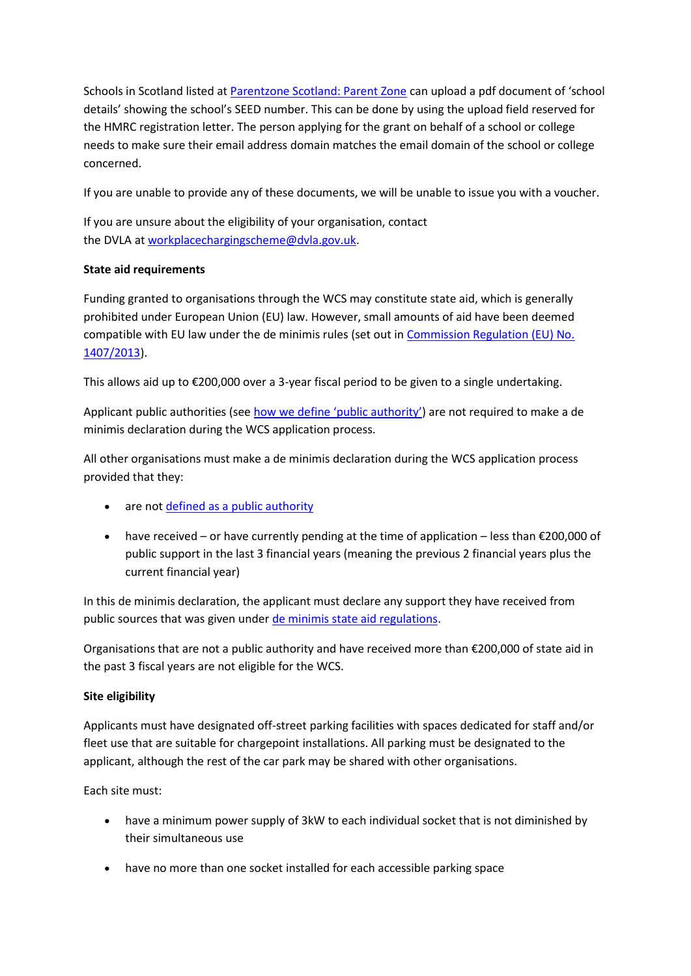Schools in Scotland listed at [Parentzone Scotland: Parent Zone](https://education.gov.scot/parentzone/) can upload a pdf document of 'school details' showing the school's SEED number. This can be done by using the upload field reserved for the HMRC registration letter. The person applying for the grant on behalf of a school or college needs to make sure their email address domain matches the email domain of the school or college concerned.

If you are unable to provide any of these documents, we will be unable to issue you with a voucher.

If you are unsure about the eligibility of your organisation, contact the DVLA at [workplacechargingscheme@dvla.gov.uk.](mailto:workplacechargingscheme@dvla.gov.uk)

# **State aid requirements**

Funding granted to organisations through the WCS may constitute state aid, which is generally prohibited under European Union (EU) law. However, small amounts of aid have been deemed compatible with EU law under the de minimis rules (set out in [Commission Regulation \(EU\) No.](https://ec.europa.eu/competition/state_aid/legislation/de_minimis_regulation_en.pdf)  [1407/2013\)](https://ec.europa.eu/competition/state_aid/legislation/de_minimis_regulation_en.pdf).

This allows aid up to €200,000 over a 3-year fiscal period to be given to a single undertaking.

Applicant public authorities (see [how we define 'public authority'](https://www.gov.uk/guidance/workplace-charging-scheme-guidance-for-applicants#public-authority-definition)) are not required to make a de minimis declaration during the WCS application process.

All other organisations must make a de minimis declaration during the WCS application process provided that they:

- are not [defined as a public authority](https://www.gov.uk/guidance/workplace-charging-scheme-guidance-for-applicants#public-authority-definition)
- have received or have currently pending at the time of application less than €200,000 of public support in the last 3 financial years (meaning the previous 2 financial years plus the current financial year)

In this de minimis declaration, the applicant must declare any support they have received from public sources that was given under [de minimis state aid regulations.](https://www.gov.uk/guidance/state-aid)

Organisations that are not a public authority and have received more than €200,000 of state aid in the past 3 fiscal years are not eligible for the WCS.

# **Site eligibility**

Applicants must have designated off-street parking facilities with spaces dedicated for staff and/or fleet use that are suitable for chargepoint installations. All parking must be designated to the applicant, although the rest of the car park may be shared with other organisations.

Each site must:

- have a minimum power supply of 3kW to each individual socket that is not diminished by their simultaneous use
- have no more than one socket installed for each accessible parking space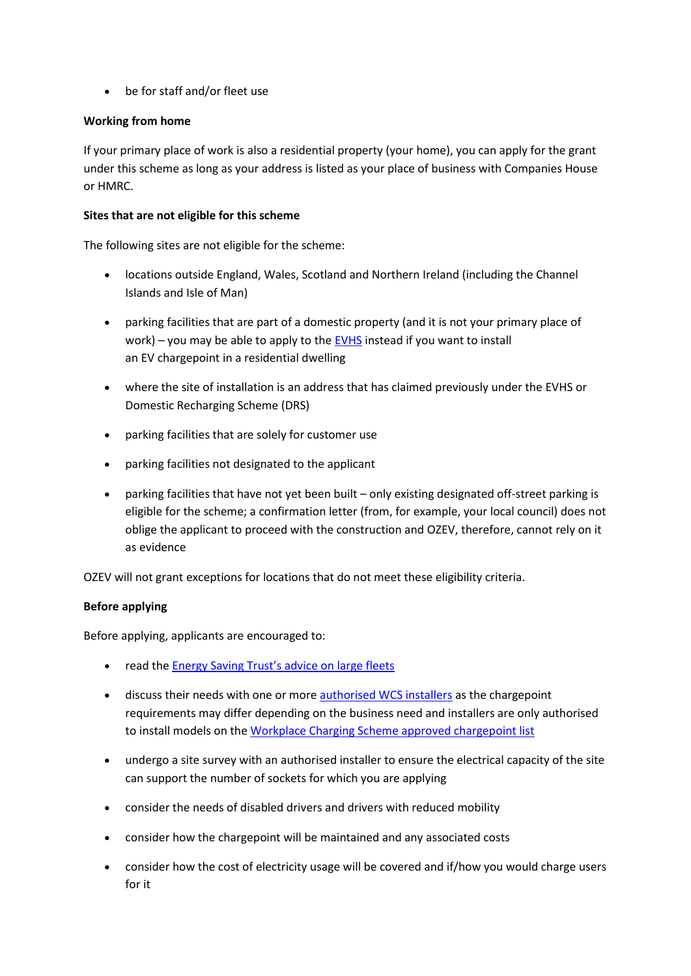• be for staff and/or fleet use

## **Working from home**

If your primary place of work is also a residential property (your home), you can apply for the grant under this scheme as long as your address is listed as your place of business with Companies House or HMRC.

### **Sites that are not eligible for this scheme**

The following sites are not eligible for the scheme:

- locations outside England, Wales, Scotland and Northern Ireland (including the Channel Islands and Isle of Man)
- parking facilities that are part of a domestic property (and it is not your primary place of work) – you may be able to apply to the [EVHS](https://www.gov.uk/government/collections/government-grants-for-low-emission-vehicles#electric-vehicle-homecharge-scheme) instead if you want to install an EV chargepoint in a residential dwelling
- where the site of installation is an address that has claimed previously under the EVHS or Domestic Recharging Scheme (DRS)
- parking facilities that are solely for customer use
- parking facilities not designated to the applicant
- parking facilities that have not yet been built only existing designated off-street parking is eligible for the scheme; a confirmation letter (from, for example, your local council) does not oblige the applicant to proceed with the construction and OZEV, therefore, cannot rely on it as evidence

OZEV will not grant exceptions for locations that do not meet these eligibility criteria.

# **Before applying**

Before applying, applicants are encouraged to:

- read the [Energy Saving Trust's advice on large fleets](https://energysavingtrust.org.uk/business/transport/advice-on-large-fleet/)
- discuss their needs with one or more [authorised](https://www.gov.uk/government/publications/workplace-charging-scheme-authorised-installers) WCS installers as the chargepoint requirements may differ depending on the business need and installers are only authorised to install models on the [Workplace Charging Scheme approved chargepoint list](https://www.gov.uk/government/publications/workplace-charging-scheme-approved-chargepoint-list)
- undergo a site survey with an authorised installer to ensure the electrical capacity of the site can support the number of sockets for which you are applying
- consider the needs of disabled drivers and drivers with reduced mobility
- consider how the chargepoint will be maintained and any associated costs
- consider how the cost of electricity usage will be covered and if/how you would charge users for it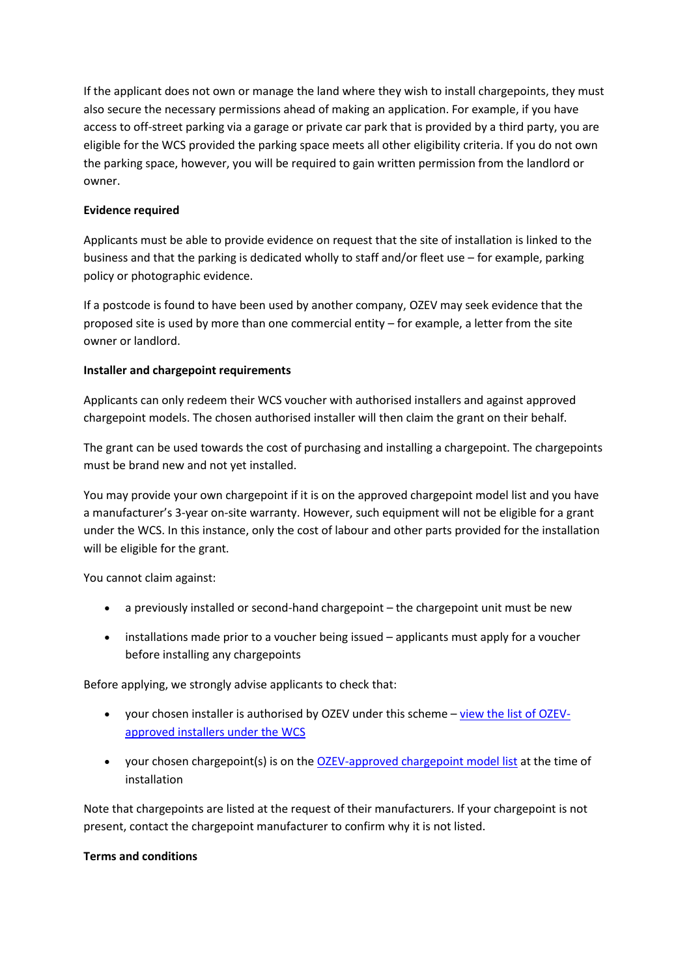If the applicant does not own or manage the land where they wish to install chargepoints, they must also secure the necessary permissions ahead of making an application. For example, if you have access to off-street parking via a garage or private car park that is provided by a third party, you are eligible for the WCS provided the parking space meets all other eligibility criteria. If you do not own the parking space, however, you will be required to gain written permission from the landlord or owner.

## **Evidence required**

Applicants must be able to provide evidence on request that the site of installation is linked to the business and that the parking is dedicated wholly to staff and/or fleet use – for example, parking policy or photographic evidence.

If a postcode is found to have been used by another company, OZEV may seek evidence that the proposed site is used by more than one commercial entity – for example, a letter from the site owner or landlord.

## **Installer and chargepoint requirements**

Applicants can only redeem their WCS voucher with authorised installers and against approved chargepoint models. The chosen authorised installer will then claim the grant on their behalf.

The grant can be used towards the cost of purchasing and installing a chargepoint. The chargepoints must be brand new and not yet installed.

You may provide your own chargepoint if it is on the approved chargepoint model list and you have a manufacturer's 3-year on-site warranty. However, such equipment will not be eligible for a grant under the WCS. In this instance, only the cost of labour and other parts provided for the installation will be eligible for the grant.

You cannot claim against:

- a previously installed or second-hand chargepoint the chargepoint unit must be new
- installations made prior to a voucher being issued applicants must apply for a voucher before installing any chargepoints

Before applying, we strongly advise applicants to check that:

- your chosen installer is authorised by OZEV under this scheme [view the list of](https://www.gov.uk/government/publications/workplace-charging-scheme-authorised-installers) OZEV[approved installers under the](https://www.gov.uk/government/publications/workplace-charging-scheme-authorised-installers) WCS
- your chosen chargepoint(s) is on the [OZEV-approved chargepoint model list](https://www.gov.uk/government/publications/workplace-charging-scheme-approved-chargepoint-list) at the time of installation

Note that chargepoints are listed at the request of their manufacturers. If your chargepoint is not present, contact the chargepoint manufacturer to confirm why it is not listed.

### **Terms and conditions**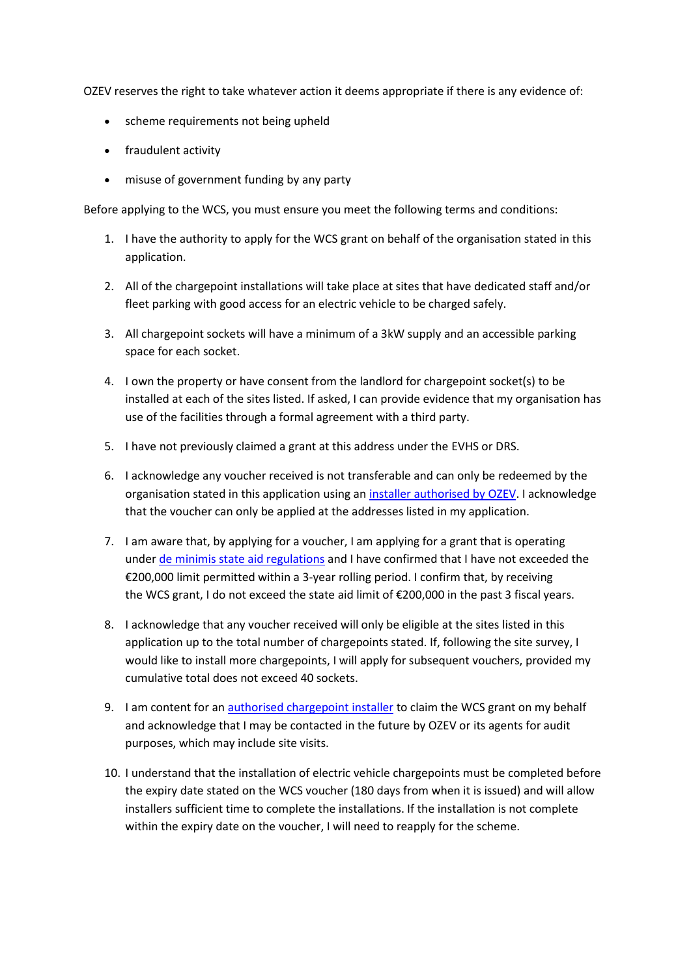OZEV reserves the right to take whatever action it deems appropriate if there is any evidence of:

- scheme requirements not being upheld
- fraudulent activity
- misuse of government funding by any party

Before applying to the WCS, you must ensure you meet the following terms and conditions:

- 1. I have the authority to apply for the WCS grant on behalf of the organisation stated in this application.
- 2. All of the chargepoint installations will take place at sites that have dedicated staff and/or fleet parking with good access for an electric vehicle to be charged safely.
- 3. All chargepoint sockets will have a minimum of a 3kW supply and an accessible parking space for each socket.
- 4. I own the property or have consent from the landlord for chargepoint socket(s) to be installed at each of the sites listed. If asked, I can provide evidence that my organisation has use of the facilities through a formal agreement with a third party.
- 5. I have not previously claimed a grant at this address under the EVHS or DRS.
- 6. I acknowledge any voucher received is not transferable and can only be redeemed by the organisation stated in this application using an [installer authorised by](https://www.gov.uk/government/publications/workplace-charging-scheme-authorised-installers) OZEV. I acknowledge that the voucher can only be applied at the addresses listed in my application.
- 7. I am aware that, by applying for a voucher, I am applying for a grant that is operating under [de minimis state aid regulations](https://www.gov.uk/guidance/workplace-charging-scheme-guidance-for-applicants#state-aid) and I have confirmed that I have not exceeded the €200,000 limit permitted within a 3-year rolling period. I confirm that, by receiving the WCS grant, I do not exceed the state aid limit of €200,000 in the past 3 fiscal years.
- 8. I acknowledge that any voucher received will only be eligible at the sites listed in this application up to the total number of chargepoints stated. If, following the site survey, I would like to install more chargepoints, I will apply for subsequent vouchers, provided my cumulative total does not exceed 40 sockets.
- 9. I am content for an [authorised chargepoint installer](https://www.gov.uk/government/publications/workplace-charging-scheme-authorised-installers) to claim the WCS grant on my behalf and acknowledge that I may be contacted in the future by OZEV or its agents for audit purposes, which may include site visits.
- 10. I understand that the installation of electric vehicle chargepoints must be completed before the expiry date stated on the WCS voucher (180 days from when it is issued) and will allow installers sufficient time to complete the installations. If the installation is not complete within the expiry date on the voucher, I will need to reapply for the scheme.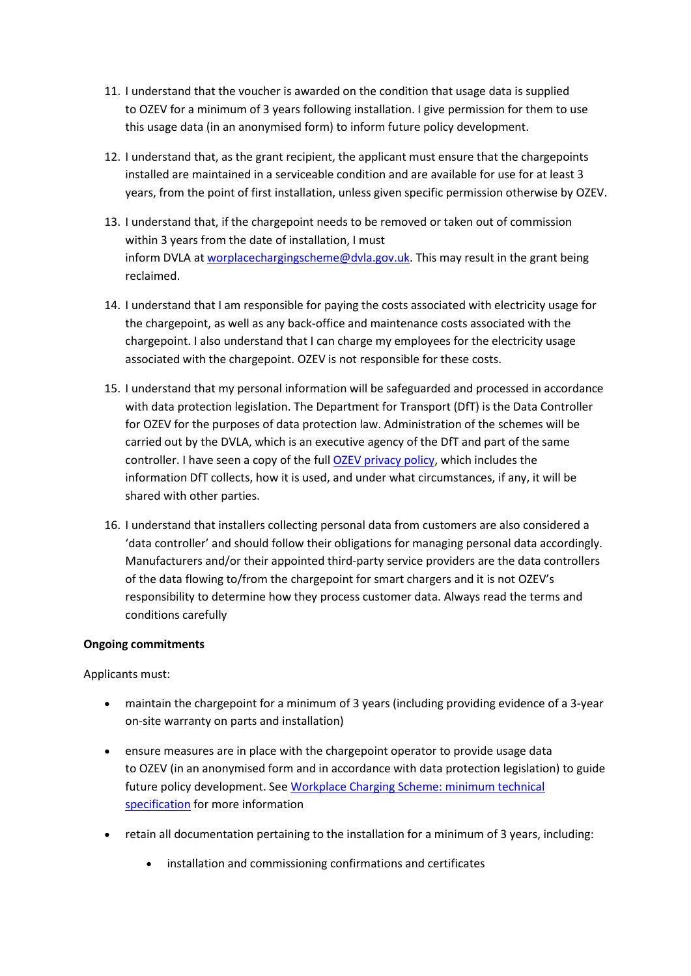- 11. I understand that the voucher is awarded on the condition that usage data is supplied to OZEV for a minimum of 3 years following installation. I give permission for them to use this usage data (in an anonymised form) to inform future policy development.
- 12. I understand that, as the grant recipient, the applicant must ensure that the chargepoints installed are maintained in a serviceable condition and are available for use for at least 3 years, from the point of first installation, unless given specific permission otherwise by OZEV.
- 13. I understand that, if the chargepoint needs to be removed or taken out of commission within 3 years from the date of installation, I must inform DVLA at [worplacechargingscheme@dvla.gov.uk.](mailto:worplacechargingscheme@dvla.gov.uk) This may result in the grant being reclaimed.
- 14. I understand that I am responsible for paying the costs associated with electricity usage for the chargepoint, as well as any back-office and maintenance costs associated with the chargepoint. I also understand that I can charge my employees for the electricity usage associated with the chargepoint. OZEV is not responsible for these costs.
- 15. I understand that my personal information will be safeguarded and processed in accordance with data protection legislation. The Department for Transport (DfT) is the Data Controller for OZEV for the purposes of data protection law. Administration of the schemes will be carried out by the DVLA, which is an executive agency of the DfT and part of the same controller. I have seen a copy of the full OZEV [privacy policy,](https://www.gov.uk/government/organisations/office-for-zero-emission-vehicles/about/personal-information-charter) which includes the information DfT collects, how it is used, and under what circumstances, if any, it will be shared with other parties.
- 16. I understand that installers collecting personal data from customers are also considered a 'data controller' and should follow their obligations for managing personal data accordingly. Manufacturers and/or their appointed third-party service providers are the data controllers of the data flowing to/from the chargepoint for smart chargers and it is not OZEV's responsibility to determine how they process customer data. Always read the terms and conditions carefully

### **Ongoing commitments**

Applicants must:

- maintain the chargepoint for a minimum of 3 years (including providing evidence of a 3-year on-site warranty on parts and installation)
- ensure measures are in place with the chargepoint operator to provide usage data to OZEV (in an anonymised form and in accordance with data protection legislation) to guide future policy development. See [Workplace Charging Scheme: minimum technical](https://www.gov.uk/government/publications/workplace-charging-scheme-minimum-technical-specification/minimum-technical-specification-workplace-charging-scheme-wcs)  [specification](https://www.gov.uk/government/publications/workplace-charging-scheme-minimum-technical-specification/minimum-technical-specification-workplace-charging-scheme-wcs) for more information
- retain all documentation pertaining to the installation for a minimum of 3 years, including:
	- installation and commissioning confirmations and certificates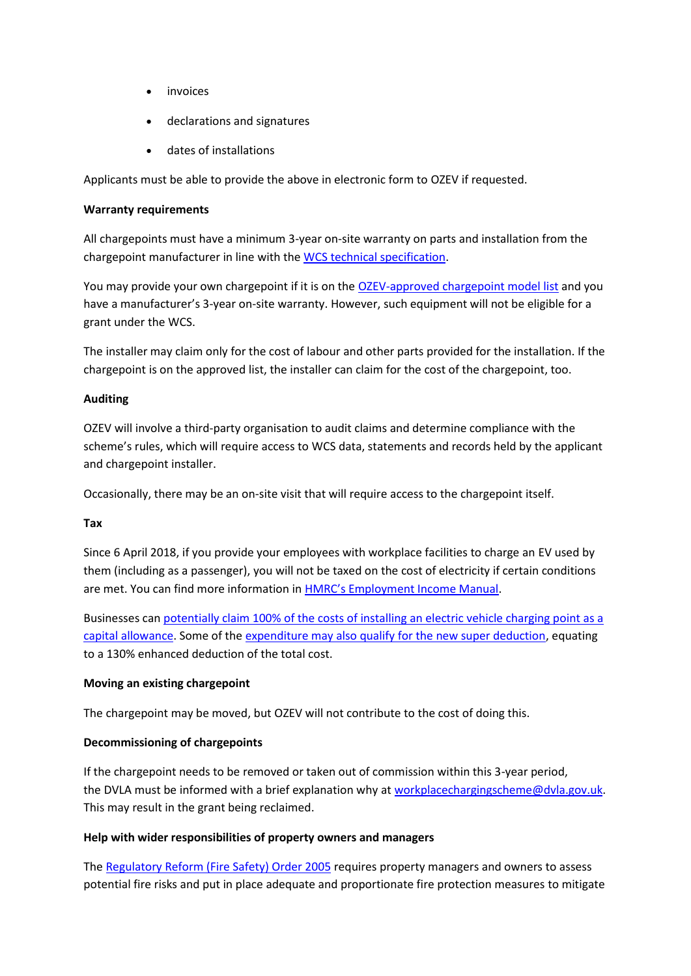- *invoices*
- declarations and signatures
- dates of installations

Applicants must be able to provide the above in electronic form to OZEV if requested.

#### **Warranty requirements**

All chargepoints must have a minimum 3-year on-site warranty on parts and installation from the chargepoint manufacturer in line with the WCS [technical specification.](https://www.gov.uk/government/publications/workplace-charging-scheme-minimum-technical-specification)

You may provide your own chargepoint if it is on the [OZEV-approved chargepoint model list](https://www.gov.uk/government/publications/workplace-charging-scheme-approved-chargepoint-list) and you have a manufacturer's 3-year on-site warranty. However, such equipment will not be eligible for a grant under the WCS.

The installer may claim only for the cost of labour and other parts provided for the installation. If the chargepoint is on the approved list, the installer can claim for the cost of the chargepoint, too.

### **Auditing**

OZEV will involve a third-party organisation to audit claims and determine compliance with the scheme's rules, which will require access to WCS data, statements and records held by the applicant and chargepoint installer.

Occasionally, there may be an on-site visit that will require access to the chargepoint itself.

### **Tax**

Since 6 April 2018, if you provide your employees with workplace facilities to charge an EV used by them (including as a passenger), you will not be taxed on the cost of electricity if certain conditions are met. You can find more information in **[HMRC's Employment Income Manual](https://www.gov.uk/hmrc-internal-manuals/employment-income-manual/eim01035)**.

Businesses can [potentially claim 100% of the costs of installing an electric vehicle charging point as a](https://www.gov.uk/hmrc-internal-manuals/capital-allowances-manual/ca23156)  [capital allowance.](https://www.gov.uk/hmrc-internal-manuals/capital-allowances-manual/ca23156) Some of the [expenditure may also qualify for the new super deduction,](https://www.gov.uk/guidance/super-deduction) equating to a 130% enhanced deduction of the total cost.

### **Moving an existing chargepoint**

The chargepoint may be moved, but OZEV will not contribute to the cost of doing this.

### **Decommissioning of chargepoints**

If the chargepoint needs to be removed or taken out of commission within this 3-year period, the DVLA must be informed with a brief explanation why at [workplacechargingscheme@dvla.gov.uk.](mailto:workplacechargingscheme@dvla.gov.uk) This may result in the grant being reclaimed.

### **Help with wider responsibilities of property owners and managers**

The [Regulatory Reform \(Fire Safety\) Order 2005](https://www.legislation.gov.uk/uksi/2005/1541/contents/made) requires property managers and owners to assess potential fire risks and put in place adequate and proportionate fire protection measures to mitigate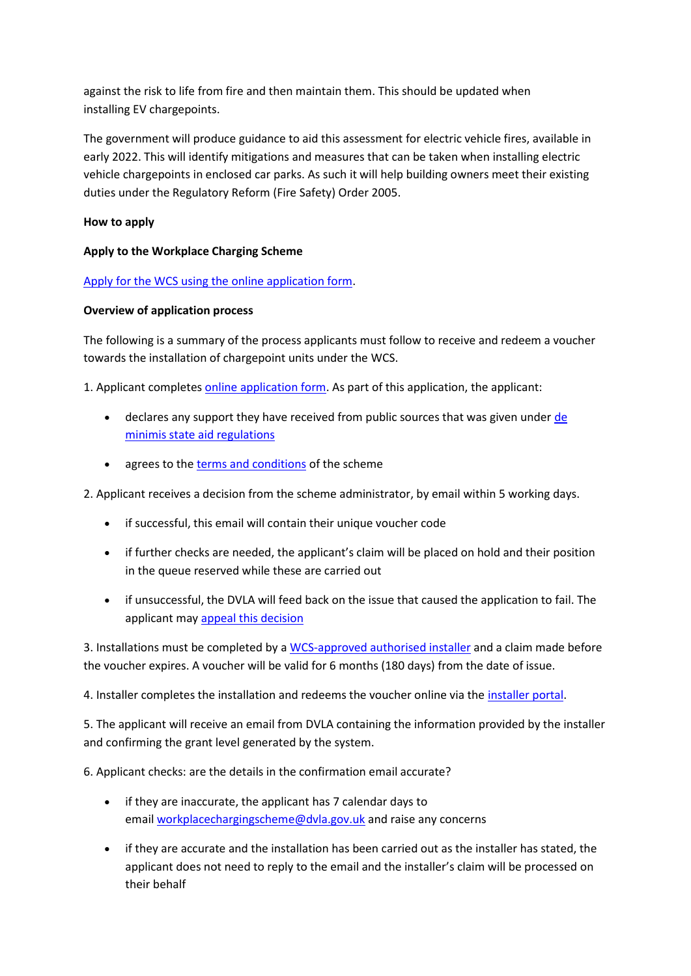against the risk to life from fire and then maintain them. This should be updated when installing EV chargepoints.

The government will produce guidance to aid this assessment for electric vehicle fires, available in early 2022. This will identify mitigations and measures that can be taken when installing electric vehicle chargepoints in enclosed car parks. As such it will help building owners meet their existing duties under the Regulatory Reform (Fire Safety) Order 2005.

# **How to apply**

# **Apply to the Workplace Charging Scheme**

# Apply for the WCS using the online application form.

# **Overview of application process**

The following is a summary of the process applicants must follow to receive and redeem a voucher towards the installation of chargepoint units under the WCS.

1. Applicant completes online application form. As part of this application, the applicant:

- $\bullet$  declares any support they have received from public sources that was given under  $de$ minimis state aid regulations
- agrees to the terms and conditions of the scheme

2. Applicant receives a decision from the scheme administrator, by email within 5 working days.

- if successful, this email will contain their unique voucher code
- if further checks are needed, the applicant's claim will be placed on hold and their position in the queue reserved while these are carried out
- if unsuccessful, the DVLA will feed back on the issue that caused the application to fail. The applicant may appeal this decision

3. Installations must be completed by a WCS-approved authorised installer and a claim made before the voucher expires. A voucher will be valid for 6 months (180 days) from the date of issue.

4. Installer completes the installation and redeems the voucher online via the installer portal.

5. The applicant will receive an email from DVLA containing the information provided by the installer and confirming the grant level generated by the system.

6. Applicant checks: are the details in the confirmation email accurate?

- if they are inaccurate, the applicant has 7 calendar days to email workplacechargingscheme@dvla.gov.uk and raise any concerns
- if they are accurate and the installation has been carried out as the installer has stated, the applicant does not need to reply to the email and the installer's claim will be processed on their behalf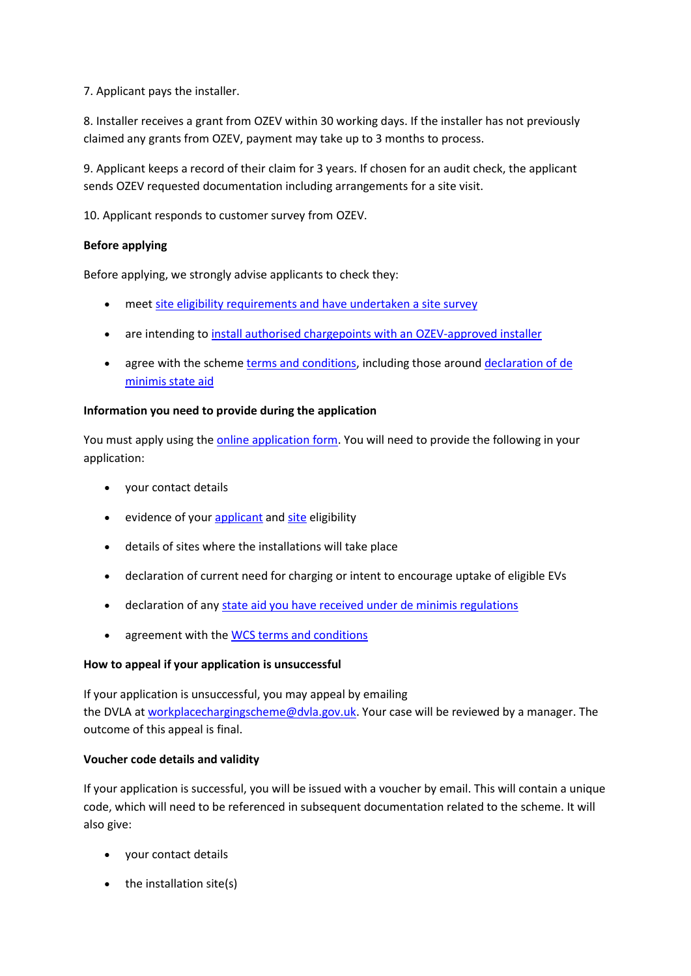7. Applicant pays the installer.

8. Installer receives a grant from OZEV within 30 working days. If the installer has not previously claimed any grants from OZEV, payment may take up to 3 months to process.

9. Applicant keeps a record of their claim for 3 years. If chosen for an audit check, the applicant sends OZEV requested documentation including arrangements for a site visit.

10. Applicant responds to customer survey from OZEV.

## **Before applying**

Before applying, we strongly advise applicants to check they:

- meet site eligibility requirements and have undertaken a site survey
- are intending to install authorised chargepoints with an OZEV-approved installer
- agree with the scheme terms and conditions, including those around declaration of de minimis state aid

## **Information you need to provide during the application**

You must apply using the online application form. You will need to provide the following in your application:

- your contact details
- evidence of your applicant and site eligibility
- details of sites where the installations will take place
- declaration of current need for charging or intent to encourage uptake of eligible EVs
- declaration of any state aid you have received under de minimis regulations
- agreement with the WCS terms and conditions

### **How to appeal if your application is unsuccessful**

If your application is unsuccessful, you may appeal by emailing the DVLA at workplacechargingscheme@dvla.gov.uk. Your case will be reviewed by a manager. The outcome of this appeal is final.

### **Voucher code details and validity**

If your application is successful, you will be issued with a voucher by email. This will contain a unique code, which will need to be referenced in subsequent documentation related to the scheme. It will also give:

- your contact details
- $\bullet$  the installation site(s)